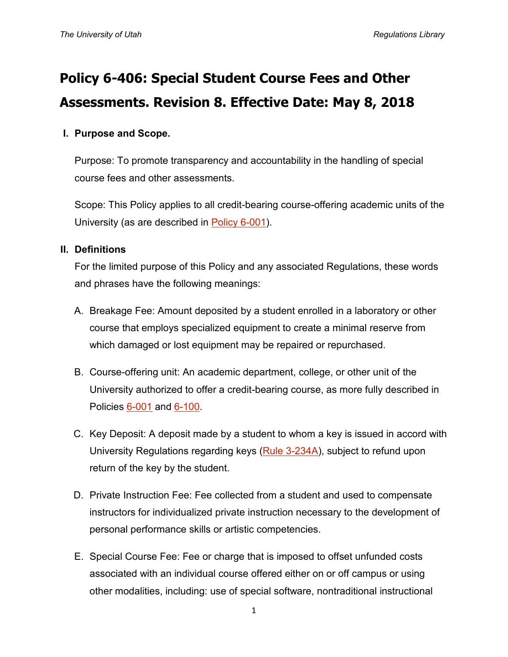# **Policy 6-406: Special Student Course Fees and Other Assessments. Revision 8. Effective Date: May 8, 2018**

# **I. Purpose and Scope.**

Purpose: To promote transparency and accountability in the handling of special course fees and other assessments.

Scope: This Policy applies to all credit-bearing course-offering academic units of the University (as are described in [Policy 6-001\)](https://regulations.utah.edu/academics/6-001.php).

#### **II. Definitions**

For the limited purpose of this Policy and any associated Regulations, these words and phrases have the following meanings:

- A. Breakage Fee: Amount deposited by a student enrolled in a laboratory or other course that employs specialized equipment to create a minimal reserve from which damaged or lost equipment may be repaired or repurchased.
- B. Course-offering unit: An academic department, college, or other unit of the University authorized to offer a credit-bearing course, as more fully described in Policies [6-001](https://regulations.utah.edu/academics/6-001.php) and [6-100.](https://regulations.utah.edu/academics/6-100.php)
- C. Key Deposit: A deposit made by a student to whom a key is issued in accord with University Regulations regarding keys [\(Rule 3-234A\)](https://regulations.utah.edu/administration/rules/R3-234A.php), subject to refund upon return of the key by the student.
- D. Private Instruction Fee: Fee collected from a student and used to compensate instructors for individualized private instruction necessary to the development of personal performance skills or artistic competencies.
- E. Special Course Fee: Fee or charge that is imposed to offset unfunded costs associated with an individual course offered either on or off campus or using other modalities, including: use of special software, nontraditional instructional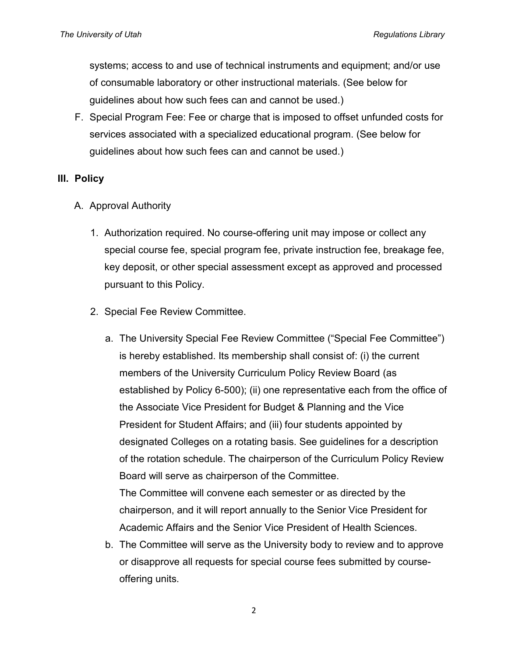systems; access to and use of technical instruments and equipment; and/or use of consumable laboratory or other instructional materials. (See below for guidelines about how such fees can and cannot be used.)

F. Special Program Fee: Fee or charge that is imposed to offset unfunded costs for services associated with a specialized educational program. (See below for guidelines about how such fees can and cannot be used.)

#### **III. Policy**

- A. Approval Authority
	- 1. Authorization required. No course-offering unit may impose or collect any special course fee, special program fee, private instruction fee, breakage fee, key deposit, or other special assessment except as approved and processed pursuant to this Policy.
	- 2. Special Fee Review Committee.
		- a. The University Special Fee Review Committee ("Special Fee Committee") is hereby established. Its membership shall consist of: (i) the current members of the University Curriculum Policy Review Board (as established by Policy 6-500); (ii) one representative each from the office of the Associate Vice President for Budget & Planning and the Vice President for Student Affairs; and (iii) four students appointed by designated Colleges on a rotating basis. See guidelines for a description of the rotation schedule. The chairperson of the Curriculum Policy Review Board will serve as chairperson of the Committee. The Committee will convene each semester or as directed by the chairperson, and it will report annually to the Senior Vice President for Academic Affairs and the Senior Vice President of Health Sciences.
		- b. The Committee will serve as the University body to review and to approve or disapprove all requests for special course fees submitted by courseoffering units.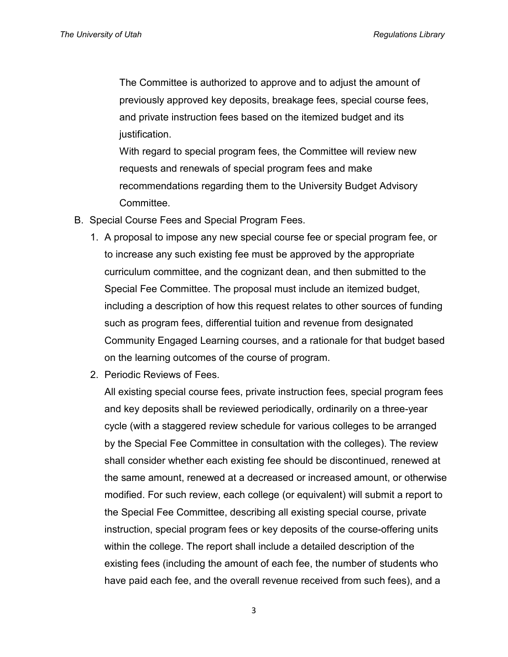The Committee is authorized to approve and to adjust the amount of previously approved key deposits, breakage fees, special course fees, and private instruction fees based on the itemized budget and its justification.

With regard to special program fees, the Committee will review new requests and renewals of special program fees and make recommendations regarding them to the University Budget Advisory Committee.

- B. Special Course Fees and Special Program Fees.
	- 1. A proposal to impose any new special course fee or special program fee, or to increase any such existing fee must be approved by the appropriate curriculum committee, and the cognizant dean, and then submitted to the Special Fee Committee. The proposal must include an itemized budget, including a description of how this request relates to other sources of funding such as program fees, differential tuition and revenue from designated Community Engaged Learning courses, and a rationale for that budget based on the learning outcomes of the course of program.
	- 2. Periodic Reviews of Fees.

All existing special course fees, private instruction fees, special program fees and key deposits shall be reviewed periodically, ordinarily on a three-year cycle (with a staggered review schedule for various colleges to be arranged by the Special Fee Committee in consultation with the colleges). The review shall consider whether each existing fee should be discontinued, renewed at the same amount, renewed at a decreased or increased amount, or otherwise modified. For such review, each college (or equivalent) will submit a report to the Special Fee Committee, describing all existing special course, private instruction, special program fees or key deposits of the course-offering units within the college. The report shall include a detailed description of the existing fees (including the amount of each fee, the number of students who have paid each fee, and the overall revenue received from such fees), and a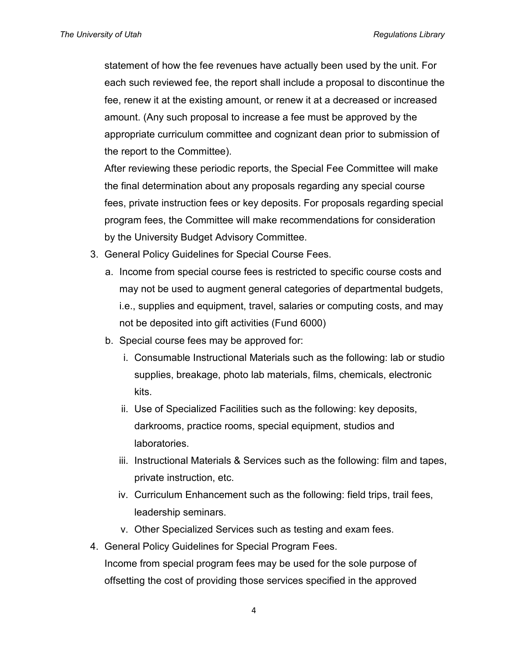statement of how the fee revenues have actually been used by the unit. For each such reviewed fee, the report shall include a proposal to discontinue the fee, renew it at the existing amount, or renew it at a decreased or increased amount. (Any such proposal to increase a fee must be approved by the appropriate curriculum committee and cognizant dean prior to submission of the report to the Committee).

After reviewing these periodic reports, the Special Fee Committee will make the final determination about any proposals regarding any special course fees, private instruction fees or key deposits. For proposals regarding special program fees, the Committee will make recommendations for consideration by the University Budget Advisory Committee.

- 3. General Policy Guidelines for Special Course Fees.
	- a. Income from special course fees is restricted to specific course costs and may not be used to augment general categories of departmental budgets, i.e., supplies and equipment, travel, salaries or computing costs, and may not be deposited into gift activities (Fund 6000)
	- b. Special course fees may be approved for:
		- i. Consumable Instructional Materials such as the following: lab or studio supplies, breakage, photo lab materials, films, chemicals, electronic kits.
		- ii. Use of Specialized Facilities such as the following: key deposits, darkrooms, practice rooms, special equipment, studios and laboratories.
		- iii. Instructional Materials & Services such as the following: film and tapes, private instruction, etc.
		- iv. Curriculum Enhancement such as the following: field trips, trail fees, leadership seminars.
		- v. Other Specialized Services such as testing and exam fees.
- 4. General Policy Guidelines for Special Program Fees. Income from special program fees may be used for the sole purpose of offsetting the cost of providing those services specified in the approved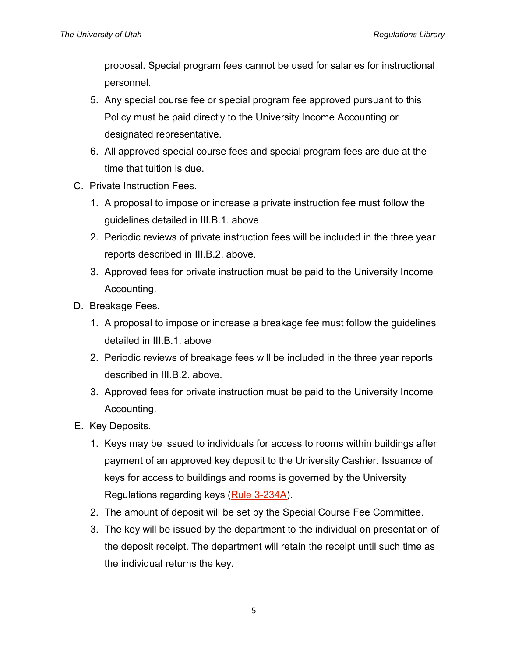proposal. Special program fees cannot be used for salaries for instructional personnel.

- 5. Any special course fee or special program fee approved pursuant to this Policy must be paid directly to the University Income Accounting or designated representative.
- 6. All approved special course fees and special program fees are due at the time that tuition is due.
- C. Private Instruction Fees.
	- 1. A proposal to impose or increase a private instruction fee must follow the guidelines detailed in III.B.1. above
	- 2. Periodic reviews of private instruction fees will be included in the three year reports described in III.B.2. above.
	- 3. Approved fees for private instruction must be paid to the University Income Accounting.
- D. Breakage Fees.
	- 1. A proposal to impose or increase a breakage fee must follow the guidelines detailed in III.B.1. above
	- 2. Periodic reviews of breakage fees will be included in the three year reports described in III.B.2. above.
	- 3. Approved fees for private instruction must be paid to the University Income Accounting.
- E. Key Deposits.
	- 1. Keys may be issued to individuals for access to rooms within buildings after payment of an approved key deposit to the University Cashier. Issuance of keys for access to buildings and rooms is governed by the University Regulations regarding keys [\(Rule 3-234A\)](https://regulations.utah.edu/administration/rules/R3-234A.php).
	- 2. The amount of deposit will be set by the Special Course Fee Committee.
	- 3. The key will be issued by the department to the individual on presentation of the deposit receipt. The department will retain the receipt until such time as the individual returns the key.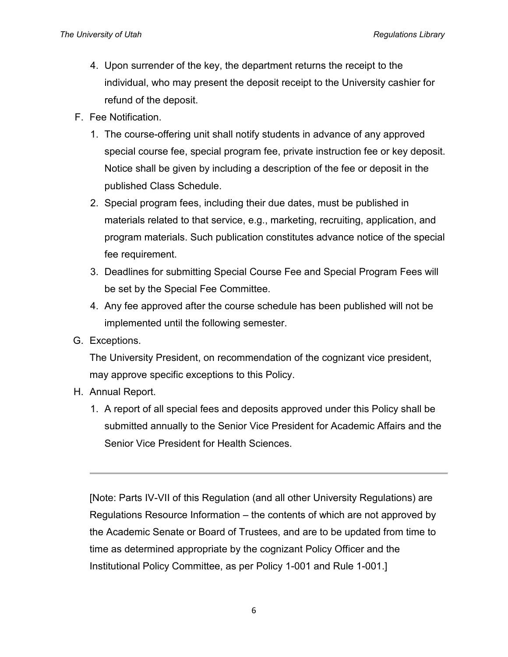- 4. Upon surrender of the key, the department returns the receipt to the individual, who may present the deposit receipt to the University cashier for refund of the deposit.
- F. Fee Notification.
	- 1. The course-offering unit shall notify students in advance of any approved special course fee, special program fee, private instruction fee or key deposit. Notice shall be given by including a description of the fee or deposit in the published Class Schedule.
	- 2. Special program fees, including their due dates, must be published in materials related to that service, e.g., marketing, recruiting, application, and program materials. Such publication constitutes advance notice of the special fee requirement.
	- 3. Deadlines for submitting Special Course Fee and Special Program Fees will be set by the Special Fee Committee.
	- 4. Any fee approved after the course schedule has been published will not be implemented until the following semester.
- G. Exceptions.

The University President, on recommendation of the cognizant vice president, may approve specific exceptions to this Policy.

- H. Annual Report.
	- 1. A report of all special fees and deposits approved under this Policy shall be submitted annually to the Senior Vice President for Academic Affairs and the Senior Vice President for Health Sciences.

[Note: Parts IV-VII of this Regulation (and all other University Regulations) are Regulations Resource Information – the contents of which are not approved by the Academic Senate or Board of Trustees, and are to be updated from time to time as determined appropriate by the cognizant Policy Officer and the Institutional Policy Committee, as per Policy 1-001 and Rule 1-001.]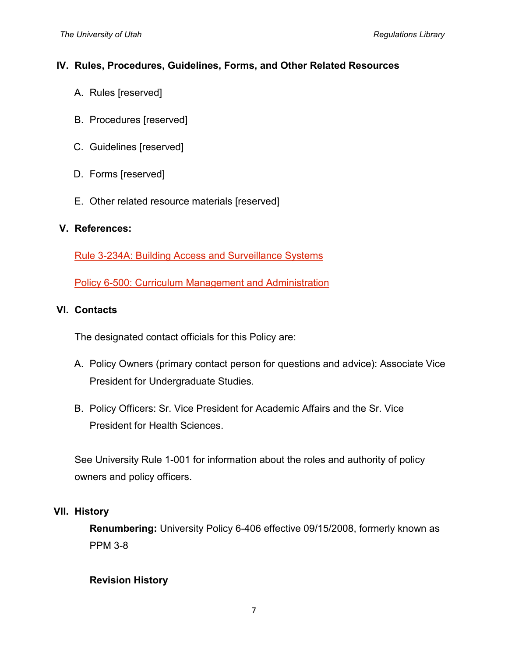#### **IV. Rules, Procedures, Guidelines, Forms, and Other Related Resources**

- A. Rules [reserved]
- B. Procedures [reserved]
- C. Guidelines [reserved]
- D. Forms [reserved]
- E. Other related resource materials [reserved]

#### **V. References:**

[Rule 3-234A: Building Access and Surveillance Systems](https://regulations.utah.edu/administration/rules/R3-234A.php)

[Policy 6-500: Curriculum Management and Administration](https://regulations.utah.edu/academics/6-500.php)

#### **VI. Contacts**

The designated contact officials for this Policy are:

- A. Policy Owners (primary contact person for questions and advice): Associate Vice President for Undergraduate Studies.
- B. Policy Officers: Sr. Vice President for Academic Affairs and the Sr. Vice President for Health Sciences.

See University Rule 1-001 for information about the roles and authority of policy owners and policy officers.

## **VII. History**

**Renumbering:** University Policy 6-406 effective 09/15/2008, formerly known as PPM 3-8

## **Revision History**